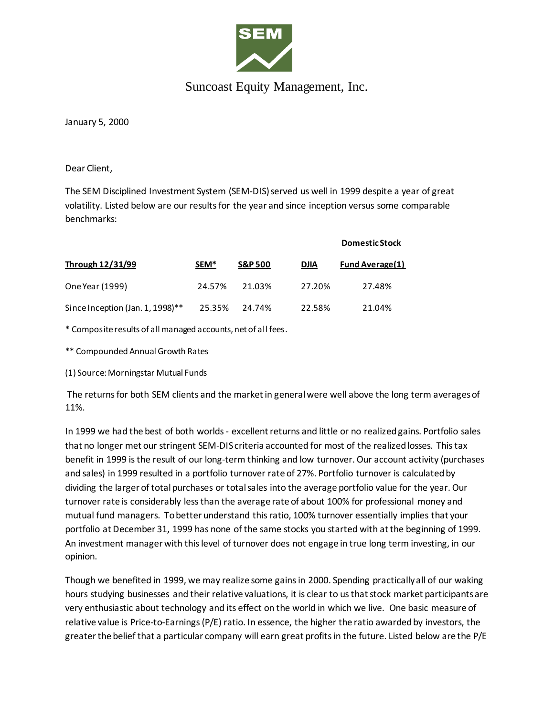

## Suncoast Equity Management, Inc.

January 5, 2000

Dear Client,

The SEM Disciplined Investment System (SEM-DIS) served us well in 1999 despite a year of great volatility. Listed below are our results for the year and since inception versus some comparable benchmarks:

|                                  |        |                    |             | <b>Domestic Stock</b>  |
|----------------------------------|--------|--------------------|-------------|------------------------|
| Through 12/31/99                 | SEM*   | <b>S&amp;P 500</b> | <b>DJIA</b> | <b>Fund Average(1)</b> |
| One Year (1999)                  | 24.57% | 21.03%             | 27.20%      | 27.48%                 |
| Since Inception (Jan. 1, 1998)** | 25.35% | 24.74%             | 22.58%      | 21.04%                 |

\* Composite results of all managed accounts, net of all fees.

\*\* Compounded Annual Growth Rates

(1) Source: Morningstar Mutual Funds

The returns for both SEM clients and the market in general were well above the long term averagesof 11%.

In 1999 we had the best of both worlds - excellent returns and little or no realized gains. Portfolio sales that no longer met our stringent SEM-DIS criteria accounted for most of the realized losses. This tax benefit in 1999 is the result of our long-term thinking and low turnover. Our account activity (purchases and sales) in 1999 resulted in a portfolio turnover rate of 27%. Portfolio turnover is calculated by dividing the larger of total purchases or total sales into the average portfolio value for the year. Our turnover rate is considerably less than the average rate of about 100% for professional money and mutual fund managers. To better understand this ratio, 100% turnover essentially implies that your portfolio at December 31, 1999 has none of the same stocks you started with at the beginning of 1999. An investment manager with this level of turnover does not engage in true long term investing, in our opinion.

Though we benefited in 1999, we may realize some gains in 2000. Spending practically all of our waking hours studying businesses and their relative valuations, it is clear to us that stock market participants are very enthusiastic about technology and its effect on the world in which we live. One basic measure of relative value is Price-to-Earnings (P/E) ratio. In essence, the higher the ratio awarded by investors, the greater the belief that a particular company will earn great profits in the future. Listed below are the P/E